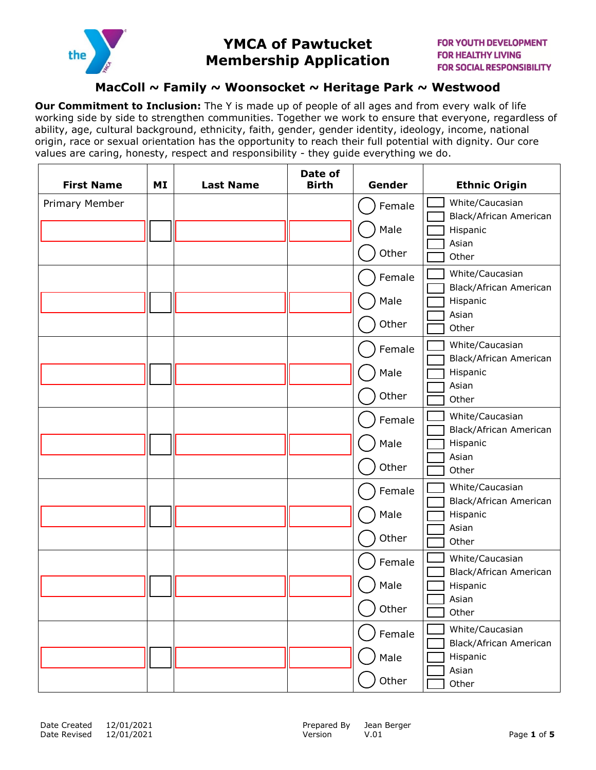

# **YMCA of Pawtucket Membership Application**

### **MacColl ~ Family ~ Woonsocket ~ Heritage Park ~ Westwood**

**Our Commitment to Inclusion:** The Y is made up of people of all ages and from every walk of life working side by side to strengthen communities. Together we work to ensure that everyone, regardless of ability, age, cultural background, ethnicity, faith, gender, gender identity, ideology, income, national origin, race or sexual orientation has the opportunity to reach their full potential with dignity. Our core values are caring, honesty, respect and responsibility - they guide everything we do.

| <b>First Name</b> | MI | <b>Last Name</b> | Date of<br><b>Birth</b> | Gender | <b>Ethnic Origin</b>                      |
|-------------------|----|------------------|-------------------------|--------|-------------------------------------------|
| Primary Member    |    |                  |                         | Female | White/Caucasian<br>Black/African American |
|                   |    |                  |                         | Male   | Hispanic<br>Asian                         |
|                   |    |                  |                         | Other  | Other                                     |
|                   |    |                  |                         | Female | White/Caucasian<br>Black/African American |
|                   |    |                  |                         | Male   | Hispanic<br>Asian                         |
|                   |    |                  |                         | Other  | Other                                     |
|                   |    |                  |                         | Female | White/Caucasian<br>Black/African American |
|                   |    |                  |                         | Male   | Hispanic<br>Asian                         |
|                   |    |                  |                         | Other  | Other                                     |
|                   |    |                  |                         | Female | White/Caucasian<br>Black/African American |
|                   |    |                  |                         | Male   | Hispanic<br>Asian                         |
|                   |    |                  |                         | Other  | Other                                     |
|                   |    |                  |                         | Female | White/Caucasian<br>Black/African American |
|                   |    |                  |                         | Male   | Hispanic<br>Asian                         |
|                   |    |                  |                         | Other  | Other                                     |
|                   |    |                  |                         | Female | White/Caucasian<br>Black/African American |
|                   |    |                  |                         | Male   | Hispanic                                  |
|                   |    |                  |                         | Other  | Asian<br>Other                            |
|                   |    |                  |                         | Female | White/Caucasian<br>Black/African American |
|                   |    |                  |                         | Male   | Hispanic<br>Asian                         |
|                   |    |                  |                         | Other  | Other                                     |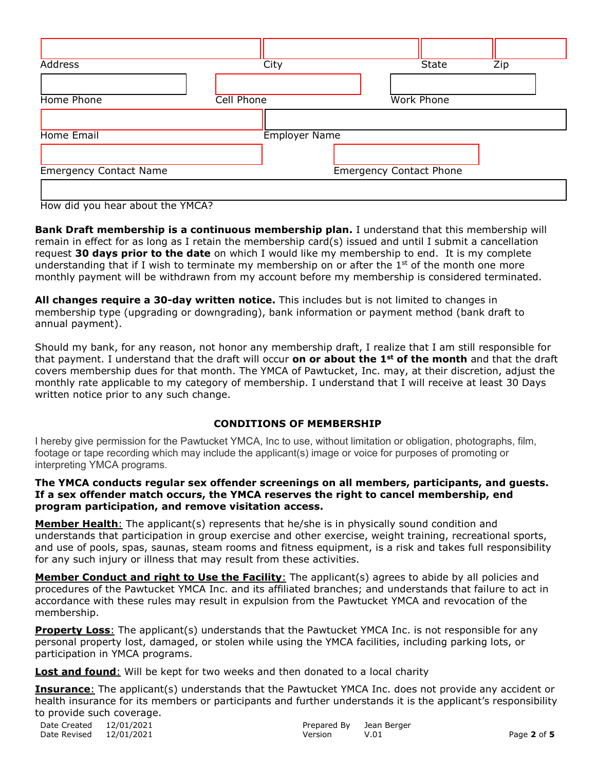| Address                       | City                 | <b>State</b>                   | Zip |
|-------------------------------|----------------------|--------------------------------|-----|
|                               |                      |                                |     |
| Home Phone                    | Cell Phone           | <b>Work Phone</b>              |     |
|                               |                      |                                |     |
| Home Email                    | <b>Employer Name</b> |                                |     |
|                               |                      |                                |     |
| <b>Emergency Contact Name</b> |                      | <b>Emergency Contact Phone</b> |     |
|                               |                      |                                |     |

How did you hear about the YMCA?

**Bank Draft membership is a continuous membership plan.** I understand that this membership will remain in effect for as long as I retain the membership card(s) issued and until I submit a cancellation request **30 days prior to the date** on which I would like my membership to end. It is my complete understanding that if I wish to terminate my membership on or after the  $1<sup>st</sup>$  of the month one more monthly payment will be withdrawn from my account before my membership is considered terminated.

**All changes require a 30-day written notice.** This includes but is not limited to changes in membership type (upgrading or downgrading), bank information or payment method (bank draft to annual payment).

Should my bank, for any reason, not honor any membership draft, I realize that I am still responsible for that payment. I understand that the draft will occur **on or about the 1st of the month** and that the draft covers membership dues for that month. The YMCA of Pawtucket, Inc. may, at their discretion, adjust the monthly rate applicable to my category of membership. I understand that I will receive at least 30 Days written notice prior to any such change.

### **CONDITIONS OF MEMBERSHIP**

I hereby give permission for the Pawtucket YMCA, Inc to use, without limitation or obligation, photographs, film, footage or tape recording which may include the applicant(s) image or voice for purposes of promoting or interpreting YMCA programs.

#### **The YMCA conducts regular sex offender screenings on all members, participants, and guests. If a sex offender match occurs, the YMCA reserves the right to cancel membership, end program participation, and remove visitation access.**

**Member Health**: The applicant(s) represents that he/she is in physically sound condition and understands that participation in group exercise and other exercise, weight training, recreational sports, and use of pools, spas, saunas, steam rooms and fitness equipment, is a risk and takes full responsibility for any such injury or illness that may result from these activities.

**Member Conduct and right to Use the Facility**: The applicant(s) agrees to abide by all policies and procedures of the Pawtucket YMCA Inc. and its affiliated branches; and understands that failure to act in accordance with these rules may result in expulsion from the Pawtucket YMCA and revocation of the membership.

**Property Loss:** The applicant(s) understands that the Pawtucket YMCA Inc. is not responsible for any personal property lost, damaged, or stolen while using the YMCA facilities, including parking lots, or participation in YMCA programs.

**Lost and found**: Will be kept for two weeks and then donated to a local charity

**Insurance**: The applicant(s) understands that the Pawtucket YMCA Inc. does not provide any accident or health insurance for its members or participants and further understands it is the applicant's responsibility to provide such coverage.

| Date Created 12/01/2021 |         | Prepared By Jean Berger |             |
|-------------------------|---------|-------------------------|-------------|
| Date Revised 12/01/2021 | Version | V.01                    | Page 2 of 5 |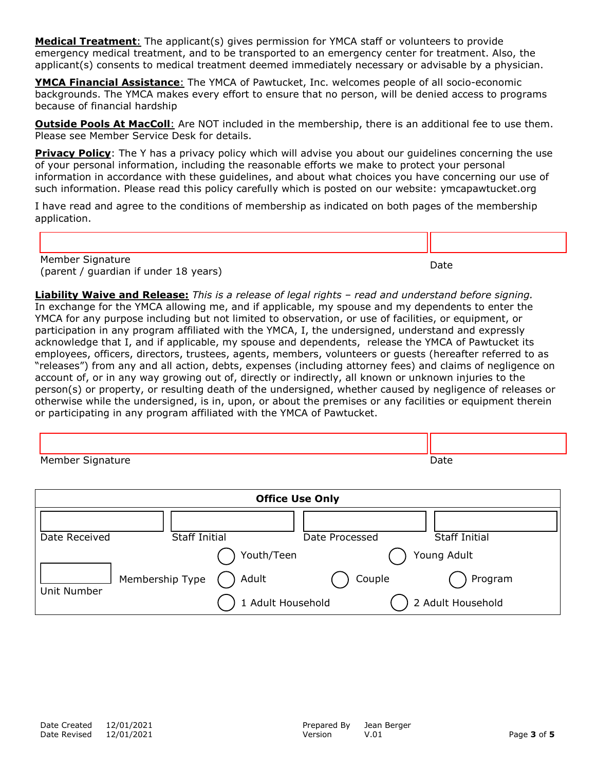**Medical Treatment**: The applicant(s) gives permission for YMCA staff or volunteers to provide emergency medical treatment, and to be transported to an emergency center for treatment. Also, the applicant(s) consents to medical treatment deemed immediately necessary or advisable by a physician.

**YMCA Financial Assistance**: The YMCA of Pawtucket, Inc. welcomes people of all socio-economic backgrounds. The YMCA makes every effort to ensure that no person, will be denied access to programs because of financial hardship

**Outside Pools At MacColl:** Are NOT included in the membership, there is an additional fee to use them. Please see Member Service Desk for details.

**Privacy Policy**: The Y has a privacy policy which will advise you about our quidelines concerning the use of your personal information, including the reasonable efforts we make to protect your personal information in accordance with these guidelines, and about what choices you have concerning our use of such information. Please read this policy carefully which is posted on our website: ymcapawtucket.org

I have read and agree to the conditions of membership as indicated on both pages of the membership application.

Member Signature rember bignature<br>(parent / guardian if under 18 years) Date

**Liability Waive and Release:** *This is a release of legal rights – read and understand before signing.*  In exchange for the YMCA allowing me, and if applicable, my spouse and my dependents to enter the YMCA for any purpose including but not limited to observation, or use of facilities, or equipment, or participation in any program affiliated with the YMCA, I, the undersigned, understand and expressly acknowledge that I, and if applicable, my spouse and dependents, release the YMCA of Pawtucket its employees, officers, directors, trustees, agents, members, volunteers or guests (hereafter referred to as "releases") from any and all action, debts, expenses (including attorney fees) and claims of negligence on account of, or in any way growing out of, directly or indirectly, all known or unknown injuries to the person(s) or property, or resulting death of the undersigned, whether caused by negligence of releases or otherwise while the undersigned, is in, upon, or about the premises or any facilities or equipment therein or participating in any program affiliated with the YMCA of Pawtucket.

| Member Signature | <b>Date</b> |
|------------------|-------------|

| <b>Office Use Only</b> |                 |                            |                |                              |
|------------------------|-----------------|----------------------------|----------------|------------------------------|
| Date Received          |                 | <b>Staff Initial</b>       | Date Processed | <b>Staff Initial</b>         |
|                        |                 | Youth/Teen                 |                | Young Adult                  |
| Unit Number            | Membership Type | Adult<br>1 Adult Household | Couple         | Program<br>2 Adult Household |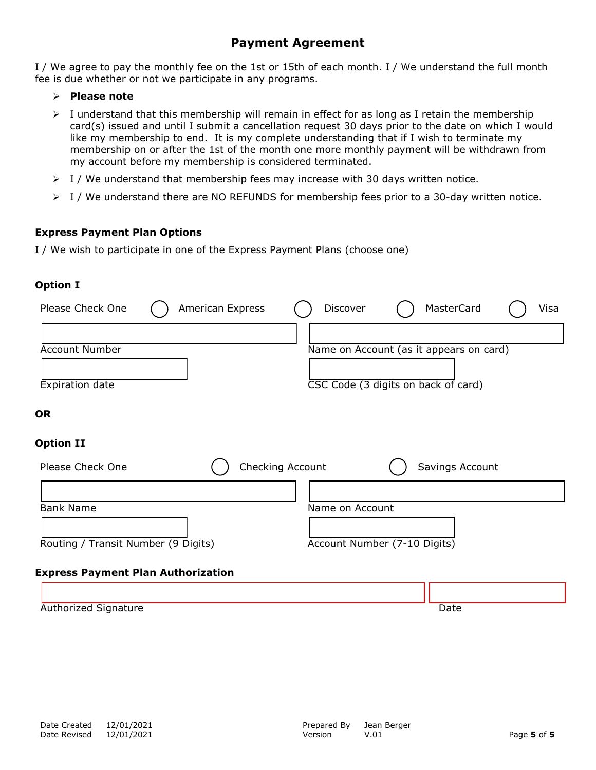## **Payment Agreement**

I / We agree to pay the monthly fee on the 1st or 15th of each month. I / We understand the full month fee is due whether or not we participate in any programs.

- **Please note**
- $\triangleright$  I understand that this membership will remain in effect for as long as I retain the membership card(s) issued and until I submit a cancellation request 30 days prior to the date on which I would like my membership to end. It is my complete understanding that if I wish to terminate my membership on or after the 1st of the month one more monthly payment will be withdrawn from my account before my membership is considered terminated.
- $\triangleright$  I / We understand that membership fees may increase with 30 days written notice.
- $\triangleright$  I / We understand there are NO REFUNDS for membership fees prior to a 30-day written notice.

### **Express Payment Plan Options**

I / We wish to participate in one of the Express Payment Plans (choose one)

### **Option I**

| Please Check One<br>American Express      | MasterCard<br>Discover<br>Visa          |
|-------------------------------------------|-----------------------------------------|
|                                           |                                         |
| <b>Account Number</b>                     | Name on Account (as it appears on card) |
|                                           |                                         |
| Expiration date                           | CSC Code (3 digits on back of card)     |
| <b>OR</b>                                 |                                         |
| <b>Option II</b>                          |                                         |
| Checking Account<br>Please Check One      | Savings Account                         |
|                                           |                                         |
| <b>Bank Name</b>                          | Name on Account                         |
|                                           |                                         |
| Routing / Transit Number (9 Digits)       | Account Number (7-10 Digits)            |
|                                           |                                         |
| <b>Express Payment Plan Authorization</b> |                                         |

| Authorized Signature | )ate |
|----------------------|------|